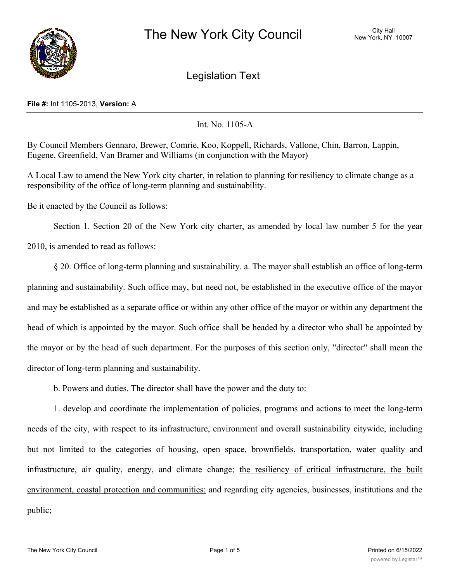

Legislation Text

## **File #:** Int 1105-2013, **Version:** A

## Int. No. 1105-A

By Council Members Gennaro, Brewer, Comrie, Koo, Koppell, Richards, Vallone, Chin, Barron, Lappin, Eugene, Greenfield, Van Bramer and Williams (in conjunction with the Mayor)

A Local Law to amend the New York city charter, in relation to planning for resiliency to climate change as a responsibility of the office of long-term planning and sustainability.

## Be it enacted by the Council as follows:

Section 1. Section 20 of the New York city charter, as amended by local law number 5 for the year 2010, is amended to read as follows:

§ 20. Office of long-term planning and sustainability. a. The mayor shall establish an office of long-term planning and sustainability. Such office may, but need not, be established in the executive office of the mayor and may be established as a separate office or within any other office of the mayor or within any department the head of which is appointed by the mayor. Such office shall be headed by a director who shall be appointed by the mayor or by the head of such department. For the purposes of this section only, "director" shall mean the director of long-term planning and sustainability.

b. Powers and duties. The director shall have the power and the duty to:

1. develop and coordinate the implementation of policies, programs and actions to meet the long-term needs of the city, with respect to its infrastructure, environment and overall sustainability citywide, including but not limited to the categories of housing, open space, brownfields, transportation, water quality and infrastructure, air quality, energy, and climate change; the resiliency of critical infrastructure, the built environment, coastal protection and communities; and regarding city agencies, businesses, institutions and the public;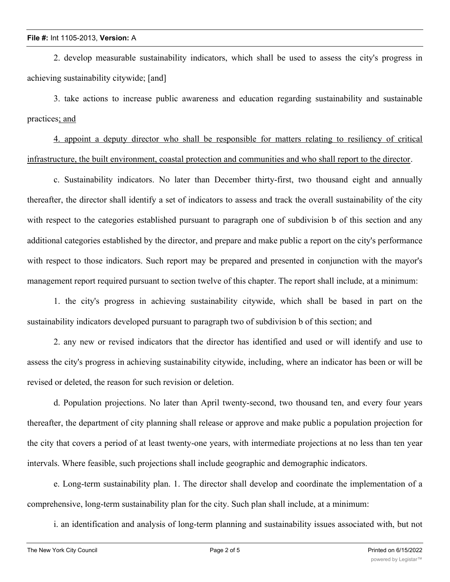2. develop measurable sustainability indicators, which shall be used to assess the city's progress in achieving sustainability citywide; [and]

3. take actions to increase public awareness and education regarding sustainability and sustainable practices; and

4. appoint a deputy director who shall be responsible for matters relating to resiliency of critical infrastructure, the built environment, coastal protection and communities and who shall report to the director.

c. Sustainability indicators. No later than December thirty-first, two thousand eight and annually thereafter, the director shall identify a set of indicators to assess and track the overall sustainability of the city with respect to the categories established pursuant to paragraph one of subdivision b of this section and any additional categories established by the director, and prepare and make public a report on the city's performance with respect to those indicators. Such report may be prepared and presented in conjunction with the mayor's management report required pursuant to section twelve of this chapter. The report shall include, at a minimum:

1. the city's progress in achieving sustainability citywide, which shall be based in part on the sustainability indicators developed pursuant to paragraph two of subdivision b of this section; and

2. any new or revised indicators that the director has identified and used or will identify and use to assess the city's progress in achieving sustainability citywide, including, where an indicator has been or will be revised or deleted, the reason for such revision or deletion.

d. Population projections. No later than April twenty-second, two thousand ten, and every four years thereafter, the department of city planning shall release or approve and make public a population projection for the city that covers a period of at least twenty-one years, with intermediate projections at no less than ten year intervals. Where feasible, such projections shall include geographic and demographic indicators.

e. Long-term sustainability plan. 1. The director shall develop and coordinate the implementation of a comprehensive, long-term sustainability plan for the city. Such plan shall include, at a minimum:

i. an identification and analysis of long-term planning and sustainability issues associated with, but not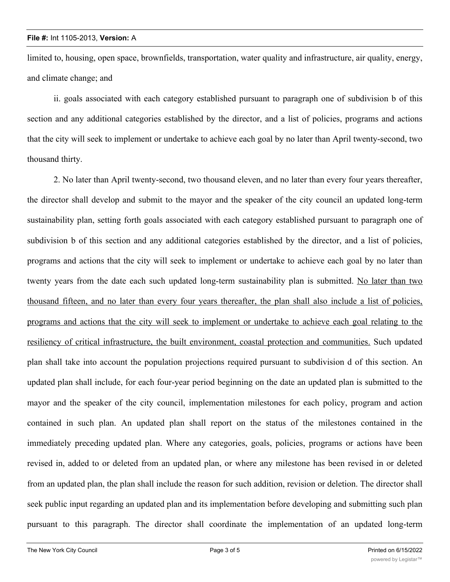limited to, housing, open space, brownfields, transportation, water quality and infrastructure, air quality, energy, and climate change; and

ii. goals associated with each category established pursuant to paragraph one of subdivision b of this section and any additional categories established by the director, and a list of policies, programs and actions that the city will seek to implement or undertake to achieve each goal by no later than April twenty-second, two thousand thirty.

2. No later than April twenty-second, two thousand eleven, and no later than every four years thereafter, the director shall develop and submit to the mayor and the speaker of the city council an updated long-term sustainability plan, setting forth goals associated with each category established pursuant to paragraph one of subdivision b of this section and any additional categories established by the director, and a list of policies, programs and actions that the city will seek to implement or undertake to achieve each goal by no later than twenty years from the date each such updated long-term sustainability plan is submitted. No later than two thousand fifteen, and no later than every four years thereafter, the plan shall also include a list of policies, programs and actions that the city will seek to implement or undertake to achieve each goal relating to the resiliency of critical infrastructure, the built environment, coastal protection and communities. Such updated plan shall take into account the population projections required pursuant to subdivision d of this section. An updated plan shall include, for each four-year period beginning on the date an updated plan is submitted to the mayor and the speaker of the city council, implementation milestones for each policy, program and action contained in such plan. An updated plan shall report on the status of the milestones contained in the immediately preceding updated plan. Where any categories, goals, policies, programs or actions have been revised in, added to or deleted from an updated plan, or where any milestone has been revised in or deleted from an updated plan, the plan shall include the reason for such addition, revision or deletion. The director shall seek public input regarding an updated plan and its implementation before developing and submitting such plan pursuant to this paragraph. The director shall coordinate the implementation of an updated long-term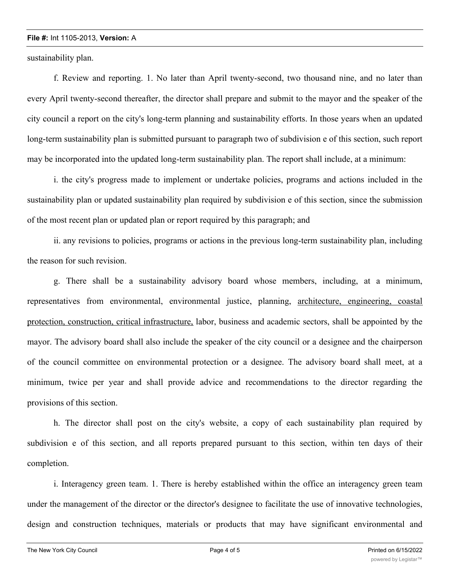## **File #:** Int 1105-2013, **Version:** A

sustainability plan.

f. Review and reporting. 1. No later than April twenty-second, two thousand nine, and no later than every April twenty-second thereafter, the director shall prepare and submit to the mayor and the speaker of the city council a report on the city's long-term planning and sustainability efforts. In those years when an updated long-term sustainability plan is submitted pursuant to paragraph two of subdivision e of this section, such report may be incorporated into the updated long-term sustainability plan. The report shall include, at a minimum:

i. the city's progress made to implement or undertake policies, programs and actions included in the sustainability plan or updated sustainability plan required by subdivision e of this section, since the submission of the most recent plan or updated plan or report required by this paragraph; and

ii. any revisions to policies, programs or actions in the previous long-term sustainability plan, including the reason for such revision.

g. There shall be a sustainability advisory board whose members, including, at a minimum, representatives from environmental, environmental justice, planning, architecture, engineering, coastal protection, construction, critical infrastructure, labor, business and academic sectors, shall be appointed by the mayor. The advisory board shall also include the speaker of the city council or a designee and the chairperson of the council committee on environmental protection or a designee. The advisory board shall meet, at a minimum, twice per year and shall provide advice and recommendations to the director regarding the provisions of this section.

h. The director shall post on the city's website, a copy of each sustainability plan required by subdivision e of this section, and all reports prepared pursuant to this section, within ten days of their completion.

i. Interagency green team. 1. There is hereby established within the office an interagency green team under the management of the director or the director's designee to facilitate the use of innovative technologies, design and construction techniques, materials or products that may have significant environmental and